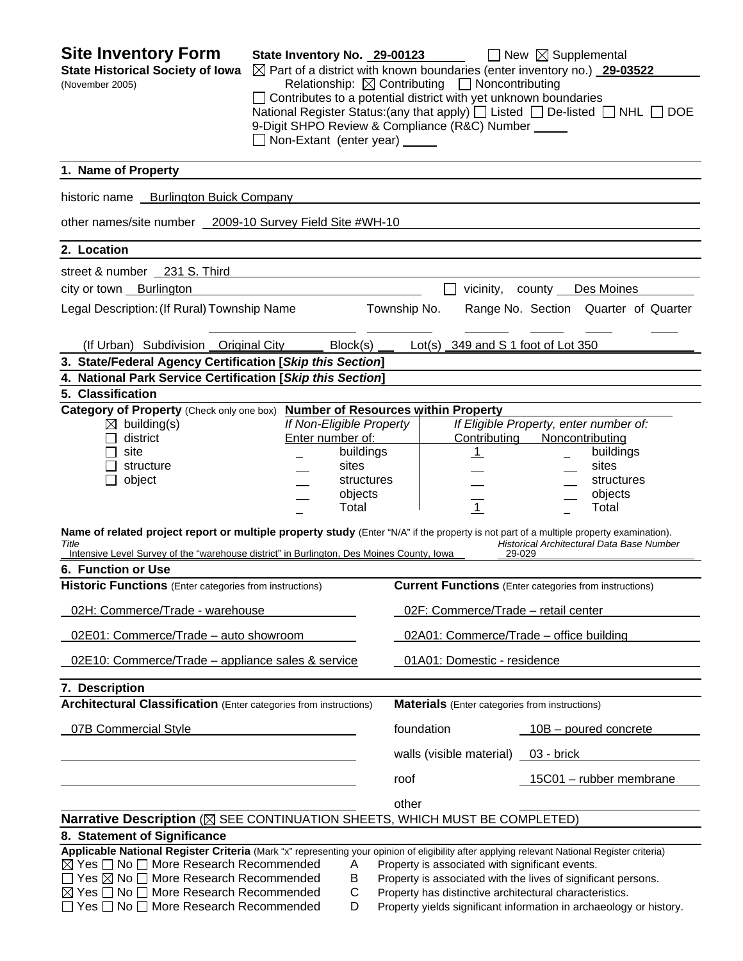**Site Inventory Form** State Inventory No. 29-00123 **No. 29-00123** New **Supplemental State Historical Society of Iowa** ⊠ Part of a district with known boundaries (enter inventory no.) **29-03522** (November 2005) Relationship:ContributingNoncontributing  $\Box$  Contributes to a potential district with yet unknown boundaries National Register Status:(any that apply)  $\Box$  Listed  $\Box$  De-listed  $\Box$  NHL  $\Box$  DOE 9-Digit SHPO Review & Compliance (R&C) Number Non-Extant (enter year) **1. Name of Property**  historic name Burlington Buick Company other names/site number 2009-10 Survey Field Site #WH-10 **2. Location**  street & number 231 S. Third city or town Burlington **vicinity** county Des Moines Legal Description: (If Rural) Township Name Township No. Range No. Section Quarter of Quarter (If Urban) Subdivision Original City Block(s) Lot(s) 349 and S 1 foot of Lot 350 **3. State/Federal Agency Certification [***Skip this Section***] 4. National Park Service Certification [***Skip this Section***] 5. Classification Category of Property** (Check only one box) **Number of Resources within Property** building(s) *If Non-Eligible Property If Eligible Property, enter number of:* district Enter number of: Contributing Noncontributing site **buildings** | 1 buildings structure sites sites sites sites sites sites sites object and the structures in the structures in the structures object in the structures  $\qquad \qquad \qquad \qquad \text{objects} \qquad \qquad \qquad \qquad \qquad \text{...} \qquad \qquad \text{objects}$  Total 1 Total **Name of related project report or multiple property study** (Enter "N/A" if the property is not part of a multiple property examination). *Title Historical Architectural Data Base Number*  Intensive Level Survey of the "warehouse district" in Burlington, Des Moines County, Iowa **6. Function or Use Historic Functions** (Enter categories from instructions) **Current Functions** (Enter categories from instructions) 02H: Commerce/Trade - warehouse 02F: Commerce/Trade – retail center 02E01: Commerce/Trade – auto showroom 02A01: Commerce/Trade – office building 02E10: Commerce/Trade – appliance sales & service 01A01: Domestic - residence **7. Description Architectural Classification** (Enter categories from instructions) **Materials** (Enter categories from instructions) 07B Commercial Style **foundation** foundation **10B** – poured concrete walls (visible material) \_ 03 - brick roof 15C01 – rubber membrane <u>other contracts and contracts and contracts and contracts and contracts and contracts and contracts and contracts and contracts and contracts and contracts and contracts and contracts and contracts and contracts and contr</u> **Narrative Description** ( $\boxtimes$  SEE CONTINUATION SHEETS, WHICH MUST BE COMPLETED) **8. Statement of Significance Applicable National Register Criteria** (Mark "x" representing your opinion of eligibility after applying relevant National Register criteria)  $\boxtimes$  Yes  $\Box$  No  $\Box$  More Research Recommended  $\Box$  A Property is associated with significant events.  $\Box$  Yes  $\boxtimes$  No  $\Box$  More Research Recommended B Property is associated with the lives of significant persons.  $\boxtimes$  Yes  $\Box$  No  $\Box$  More Research Recommended  $\Box$  C Property has distinctive architectural characteristics.  $\Box$  Yes  $\Box$  No  $\Box$  More Research Recommended D Property yields significant information in archaeology or history.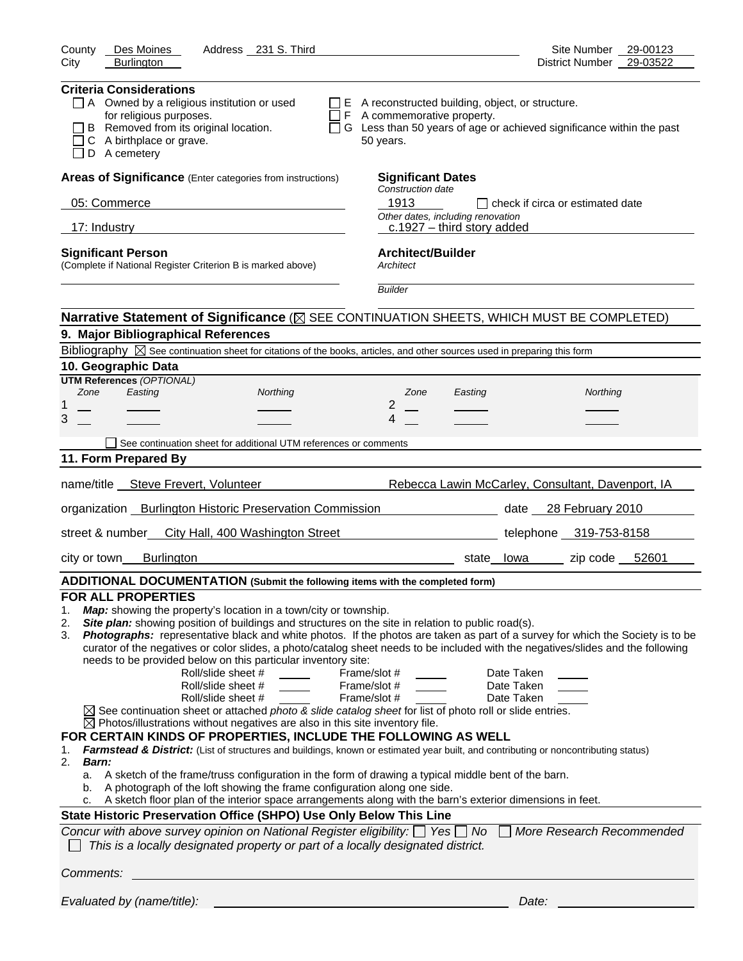| <b>Criteria Considerations</b><br>$\Box$ A Owned by a religious institution or used<br>$\Box$ E A reconstructed building, object, or structure.<br>for religious purposes.<br>$\Box$ F A commemorative property.<br>B Removed from its original location.<br>$\Box$ G Less than 50 years of age or achieved significance within the past<br>C A birthplace or grave.<br>50 years.<br>D A cemetery<br>Areas of Significance (Enter categories from instructions)<br><b>Significant Dates</b><br>Construction date<br>1913<br>05: Commerce<br>check if circa or estimated date<br>Other dates, including renovation<br>17: Industry<br>$c.1927 -$ third story added<br><b>Architect/Builder</b><br><b>Significant Person</b><br>(Complete if National Register Criterion B is marked above)<br>Architect<br><b>Builder</b><br>Narrative Statement of Significance ( $\boxtimes$ SEE CONTINUATION SHEETS, WHICH MUST BE COMPLETED)<br>9. Major Bibliographical References<br>Bibliography $\boxtimes$ See continuation sheet for citations of the books, articles, and other sources used in preparing this form<br>10. Geographic Data<br><b>UTM References (OPTIONAL)</b><br>Zone<br>Easting<br>Northing<br>Northing<br>Zone<br>Easting<br>1<br>2<br>3<br>4<br>See continuation sheet for additional UTM references or comments<br>11. Form Prepared By<br>name/title __ Steve Frevert, Volunteer<br>Rebecca Lawin McCarley, Consultant, Davenport, IA<br>organization _ Burlington Historic Preservation Commission<br>date 28 February 2010<br>street & number<br>City Hall, 400 Washington Street<br>telephone 319-753-8158<br><b>Burlington</b><br>zip code 52601<br>city or town<br>state lowa<br>ADDITIONAL DOCUMENTATION (Submit the following items with the completed form)<br><b>FOR ALL PROPERTIES</b><br>Map: showing the property's location in a town/city or township.<br>1.<br>Site plan: showing position of buildings and structures on the site in relation to public road(s).<br>2.<br>Photographs: representative black and white photos. If the photos are taken as part of a survey for which the Society is to be<br>3.<br>curator of the negatives or color slides, a photo/catalog sheet needs to be included with the negatives/slides and the following<br>needs to be provided below on this particular inventory site:<br>Roll/slide sheet #<br>Frame/slot #<br>Date Taken<br>Roll/slide sheet #<br>Frame/slot #<br>Date Taken<br>Roll/slide sheet #<br>Frame/slot #<br>Date Taken<br>$\boxtimes$ See continuation sheet or attached photo & slide catalog sheet for list of photo roll or slide entries.<br>$\boxtimes$ Photos/illustrations without negatives are also in this site inventory file.<br>FOR CERTAIN KINDS OF PROPERTIES, INCLUDE THE FOLLOWING AS WELL<br>Farmstead & District: (List of structures and buildings, known or estimated year built, and contributing or noncontributing status)<br>1.<br>2.<br>Barn:<br>A sketch of the frame/truss configuration in the form of drawing a typical middle bent of the barn.<br>a.<br>A photograph of the loft showing the frame configuration along one side.<br>b.<br>A sketch floor plan of the interior space arrangements along with the barn's exterior dimensions in feet.<br>c.<br>State Historic Preservation Office (SHPO) Use Only Below This Line<br>Concur with above survey opinion on National Register eligibility: $\Box$ Yes $\Box$ No<br>More Research Recommended<br>This is a locally designated property or part of a locally designated district.<br>Comments: | Des Moines<br>Address 231 S. Third<br>County | Site Number 29-00123     |
|----------------------------------------------------------------------------------------------------------------------------------------------------------------------------------------------------------------------------------------------------------------------------------------------------------------------------------------------------------------------------------------------------------------------------------------------------------------------------------------------------------------------------------------------------------------------------------------------------------------------------------------------------------------------------------------------------------------------------------------------------------------------------------------------------------------------------------------------------------------------------------------------------------------------------------------------------------------------------------------------------------------------------------------------------------------------------------------------------------------------------------------------------------------------------------------------------------------------------------------------------------------------------------------------------------------------------------------------------------------------------------------------------------------------------------------------------------------------------------------------------------------------------------------------------------------------------------------------------------------------------------------------------------------------------------------------------------------------------------------------------------------------------------------------------------------------------------------------------------------------------------------------------------------------------------------------------------------------------------------------------------------------------------------------------------------------------------------------------------------------------------------------------------------------------------------------------------------------------------------------------------------------------------------------------------------------------------------------------------------------------------------------------------------------------------------------------------------------------------------------------------------------------------------------------------------------------------------------------------------------------------------------------------------------------------------------------------------------------------------------------------------------------------------------------------------------------------------------------------------------------------------------------------------------------------------------------------------------------------------------------------------------------------------------------------------------------------------------------------------------------------------------------------------------------------------------------------------------------------------------------------------------------------------------------------------------------------------------------------------------------------------------------------------------------------------------------------------------------------------------------------------------------------------------------------------------------------|----------------------------------------------|--------------------------|
|                                                                                                                                                                                                                                                                                                                                                                                                                                                                                                                                                                                                                                                                                                                                                                                                                                                                                                                                                                                                                                                                                                                                                                                                                                                                                                                                                                                                                                                                                                                                                                                                                                                                                                                                                                                                                                                                                                                                                                                                                                                                                                                                                                                                                                                                                                                                                                                                                                                                                                                                                                                                                                                                                                                                                                                                                                                                                                                                                                                                                                                                                                                                                                                                                                                                                                                                                                                                                                                                                                                                                                                  | <b>Burlington</b><br>City                    | District Number 29-03522 |
|                                                                                                                                                                                                                                                                                                                                                                                                                                                                                                                                                                                                                                                                                                                                                                                                                                                                                                                                                                                                                                                                                                                                                                                                                                                                                                                                                                                                                                                                                                                                                                                                                                                                                                                                                                                                                                                                                                                                                                                                                                                                                                                                                                                                                                                                                                                                                                                                                                                                                                                                                                                                                                                                                                                                                                                                                                                                                                                                                                                                                                                                                                                                                                                                                                                                                                                                                                                                                                                                                                                                                                                  |                                              |                          |
|                                                                                                                                                                                                                                                                                                                                                                                                                                                                                                                                                                                                                                                                                                                                                                                                                                                                                                                                                                                                                                                                                                                                                                                                                                                                                                                                                                                                                                                                                                                                                                                                                                                                                                                                                                                                                                                                                                                                                                                                                                                                                                                                                                                                                                                                                                                                                                                                                                                                                                                                                                                                                                                                                                                                                                                                                                                                                                                                                                                                                                                                                                                                                                                                                                                                                                                                                                                                                                                                                                                                                                                  |                                              |                          |
|                                                                                                                                                                                                                                                                                                                                                                                                                                                                                                                                                                                                                                                                                                                                                                                                                                                                                                                                                                                                                                                                                                                                                                                                                                                                                                                                                                                                                                                                                                                                                                                                                                                                                                                                                                                                                                                                                                                                                                                                                                                                                                                                                                                                                                                                                                                                                                                                                                                                                                                                                                                                                                                                                                                                                                                                                                                                                                                                                                                                                                                                                                                                                                                                                                                                                                                                                                                                                                                                                                                                                                                  |                                              |                          |
|                                                                                                                                                                                                                                                                                                                                                                                                                                                                                                                                                                                                                                                                                                                                                                                                                                                                                                                                                                                                                                                                                                                                                                                                                                                                                                                                                                                                                                                                                                                                                                                                                                                                                                                                                                                                                                                                                                                                                                                                                                                                                                                                                                                                                                                                                                                                                                                                                                                                                                                                                                                                                                                                                                                                                                                                                                                                                                                                                                                                                                                                                                                                                                                                                                                                                                                                                                                                                                                                                                                                                                                  |                                              |                          |
|                                                                                                                                                                                                                                                                                                                                                                                                                                                                                                                                                                                                                                                                                                                                                                                                                                                                                                                                                                                                                                                                                                                                                                                                                                                                                                                                                                                                                                                                                                                                                                                                                                                                                                                                                                                                                                                                                                                                                                                                                                                                                                                                                                                                                                                                                                                                                                                                                                                                                                                                                                                                                                                                                                                                                                                                                                                                                                                                                                                                                                                                                                                                                                                                                                                                                                                                                                                                                                                                                                                                                                                  |                                              |                          |
|                                                                                                                                                                                                                                                                                                                                                                                                                                                                                                                                                                                                                                                                                                                                                                                                                                                                                                                                                                                                                                                                                                                                                                                                                                                                                                                                                                                                                                                                                                                                                                                                                                                                                                                                                                                                                                                                                                                                                                                                                                                                                                                                                                                                                                                                                                                                                                                                                                                                                                                                                                                                                                                                                                                                                                                                                                                                                                                                                                                                                                                                                                                                                                                                                                                                                                                                                                                                                                                                                                                                                                                  |                                              |                          |
|                                                                                                                                                                                                                                                                                                                                                                                                                                                                                                                                                                                                                                                                                                                                                                                                                                                                                                                                                                                                                                                                                                                                                                                                                                                                                                                                                                                                                                                                                                                                                                                                                                                                                                                                                                                                                                                                                                                                                                                                                                                                                                                                                                                                                                                                                                                                                                                                                                                                                                                                                                                                                                                                                                                                                                                                                                                                                                                                                                                                                                                                                                                                                                                                                                                                                                                                                                                                                                                                                                                                                                                  |                                              |                          |
|                                                                                                                                                                                                                                                                                                                                                                                                                                                                                                                                                                                                                                                                                                                                                                                                                                                                                                                                                                                                                                                                                                                                                                                                                                                                                                                                                                                                                                                                                                                                                                                                                                                                                                                                                                                                                                                                                                                                                                                                                                                                                                                                                                                                                                                                                                                                                                                                                                                                                                                                                                                                                                                                                                                                                                                                                                                                                                                                                                                                                                                                                                                                                                                                                                                                                                                                                                                                                                                                                                                                                                                  |                                              |                          |
|                                                                                                                                                                                                                                                                                                                                                                                                                                                                                                                                                                                                                                                                                                                                                                                                                                                                                                                                                                                                                                                                                                                                                                                                                                                                                                                                                                                                                                                                                                                                                                                                                                                                                                                                                                                                                                                                                                                                                                                                                                                                                                                                                                                                                                                                                                                                                                                                                                                                                                                                                                                                                                                                                                                                                                                                                                                                                                                                                                                                                                                                                                                                                                                                                                                                                                                                                                                                                                                                                                                                                                                  |                                              |                          |
|                                                                                                                                                                                                                                                                                                                                                                                                                                                                                                                                                                                                                                                                                                                                                                                                                                                                                                                                                                                                                                                                                                                                                                                                                                                                                                                                                                                                                                                                                                                                                                                                                                                                                                                                                                                                                                                                                                                                                                                                                                                                                                                                                                                                                                                                                                                                                                                                                                                                                                                                                                                                                                                                                                                                                                                                                                                                                                                                                                                                                                                                                                                                                                                                                                                                                                                                                                                                                                                                                                                                                                                  |                                              |                          |
|                                                                                                                                                                                                                                                                                                                                                                                                                                                                                                                                                                                                                                                                                                                                                                                                                                                                                                                                                                                                                                                                                                                                                                                                                                                                                                                                                                                                                                                                                                                                                                                                                                                                                                                                                                                                                                                                                                                                                                                                                                                                                                                                                                                                                                                                                                                                                                                                                                                                                                                                                                                                                                                                                                                                                                                                                                                                                                                                                                                                                                                                                                                                                                                                                                                                                                                                                                                                                                                                                                                                                                                  |                                              |                          |
|                                                                                                                                                                                                                                                                                                                                                                                                                                                                                                                                                                                                                                                                                                                                                                                                                                                                                                                                                                                                                                                                                                                                                                                                                                                                                                                                                                                                                                                                                                                                                                                                                                                                                                                                                                                                                                                                                                                                                                                                                                                                                                                                                                                                                                                                                                                                                                                                                                                                                                                                                                                                                                                                                                                                                                                                                                                                                                                                                                                                                                                                                                                                                                                                                                                                                                                                                                                                                                                                                                                                                                                  |                                              |                          |
|                                                                                                                                                                                                                                                                                                                                                                                                                                                                                                                                                                                                                                                                                                                                                                                                                                                                                                                                                                                                                                                                                                                                                                                                                                                                                                                                                                                                                                                                                                                                                                                                                                                                                                                                                                                                                                                                                                                                                                                                                                                                                                                                                                                                                                                                                                                                                                                                                                                                                                                                                                                                                                                                                                                                                                                                                                                                                                                                                                                                                                                                                                                                                                                                                                                                                                                                                                                                                                                                                                                                                                                  |                                              |                          |
|                                                                                                                                                                                                                                                                                                                                                                                                                                                                                                                                                                                                                                                                                                                                                                                                                                                                                                                                                                                                                                                                                                                                                                                                                                                                                                                                                                                                                                                                                                                                                                                                                                                                                                                                                                                                                                                                                                                                                                                                                                                                                                                                                                                                                                                                                                                                                                                                                                                                                                                                                                                                                                                                                                                                                                                                                                                                                                                                                                                                                                                                                                                                                                                                                                                                                                                                                                                                                                                                                                                                                                                  |                                              |                          |
|                                                                                                                                                                                                                                                                                                                                                                                                                                                                                                                                                                                                                                                                                                                                                                                                                                                                                                                                                                                                                                                                                                                                                                                                                                                                                                                                                                                                                                                                                                                                                                                                                                                                                                                                                                                                                                                                                                                                                                                                                                                                                                                                                                                                                                                                                                                                                                                                                                                                                                                                                                                                                                                                                                                                                                                                                                                                                                                                                                                                                                                                                                                                                                                                                                                                                                                                                                                                                                                                                                                                                                                  |                                              |                          |
|                                                                                                                                                                                                                                                                                                                                                                                                                                                                                                                                                                                                                                                                                                                                                                                                                                                                                                                                                                                                                                                                                                                                                                                                                                                                                                                                                                                                                                                                                                                                                                                                                                                                                                                                                                                                                                                                                                                                                                                                                                                                                                                                                                                                                                                                                                                                                                                                                                                                                                                                                                                                                                                                                                                                                                                                                                                                                                                                                                                                                                                                                                                                                                                                                                                                                                                                                                                                                                                                                                                                                                                  |                                              |                          |
|                                                                                                                                                                                                                                                                                                                                                                                                                                                                                                                                                                                                                                                                                                                                                                                                                                                                                                                                                                                                                                                                                                                                                                                                                                                                                                                                                                                                                                                                                                                                                                                                                                                                                                                                                                                                                                                                                                                                                                                                                                                                                                                                                                                                                                                                                                                                                                                                                                                                                                                                                                                                                                                                                                                                                                                                                                                                                                                                                                                                                                                                                                                                                                                                                                                                                                                                                                                                                                                                                                                                                                                  |                                              |                          |
|                                                                                                                                                                                                                                                                                                                                                                                                                                                                                                                                                                                                                                                                                                                                                                                                                                                                                                                                                                                                                                                                                                                                                                                                                                                                                                                                                                                                                                                                                                                                                                                                                                                                                                                                                                                                                                                                                                                                                                                                                                                                                                                                                                                                                                                                                                                                                                                                                                                                                                                                                                                                                                                                                                                                                                                                                                                                                                                                                                                                                                                                                                                                                                                                                                                                                                                                                                                                                                                                                                                                                                                  |                                              |                          |
|                                                                                                                                                                                                                                                                                                                                                                                                                                                                                                                                                                                                                                                                                                                                                                                                                                                                                                                                                                                                                                                                                                                                                                                                                                                                                                                                                                                                                                                                                                                                                                                                                                                                                                                                                                                                                                                                                                                                                                                                                                                                                                                                                                                                                                                                                                                                                                                                                                                                                                                                                                                                                                                                                                                                                                                                                                                                                                                                                                                                                                                                                                                                                                                                                                                                                                                                                                                                                                                                                                                                                                                  |                                              |                          |
|                                                                                                                                                                                                                                                                                                                                                                                                                                                                                                                                                                                                                                                                                                                                                                                                                                                                                                                                                                                                                                                                                                                                                                                                                                                                                                                                                                                                                                                                                                                                                                                                                                                                                                                                                                                                                                                                                                                                                                                                                                                                                                                                                                                                                                                                                                                                                                                                                                                                                                                                                                                                                                                                                                                                                                                                                                                                                                                                                                                                                                                                                                                                                                                                                                                                                                                                                                                                                                                                                                                                                                                  |                                              |                          |
|                                                                                                                                                                                                                                                                                                                                                                                                                                                                                                                                                                                                                                                                                                                                                                                                                                                                                                                                                                                                                                                                                                                                                                                                                                                                                                                                                                                                                                                                                                                                                                                                                                                                                                                                                                                                                                                                                                                                                                                                                                                                                                                                                                                                                                                                                                                                                                                                                                                                                                                                                                                                                                                                                                                                                                                                                                                                                                                                                                                                                                                                                                                                                                                                                                                                                                                                                                                                                                                                                                                                                                                  |                                              |                          |
|                                                                                                                                                                                                                                                                                                                                                                                                                                                                                                                                                                                                                                                                                                                                                                                                                                                                                                                                                                                                                                                                                                                                                                                                                                                                                                                                                                                                                                                                                                                                                                                                                                                                                                                                                                                                                                                                                                                                                                                                                                                                                                                                                                                                                                                                                                                                                                                                                                                                                                                                                                                                                                                                                                                                                                                                                                                                                                                                                                                                                                                                                                                                                                                                                                                                                                                                                                                                                                                                                                                                                                                  |                                              |                          |
|                                                                                                                                                                                                                                                                                                                                                                                                                                                                                                                                                                                                                                                                                                                                                                                                                                                                                                                                                                                                                                                                                                                                                                                                                                                                                                                                                                                                                                                                                                                                                                                                                                                                                                                                                                                                                                                                                                                                                                                                                                                                                                                                                                                                                                                                                                                                                                                                                                                                                                                                                                                                                                                                                                                                                                                                                                                                                                                                                                                                                                                                                                                                                                                                                                                                                                                                                                                                                                                                                                                                                                                  | Evaluated by (name/title):                   | Date:                    |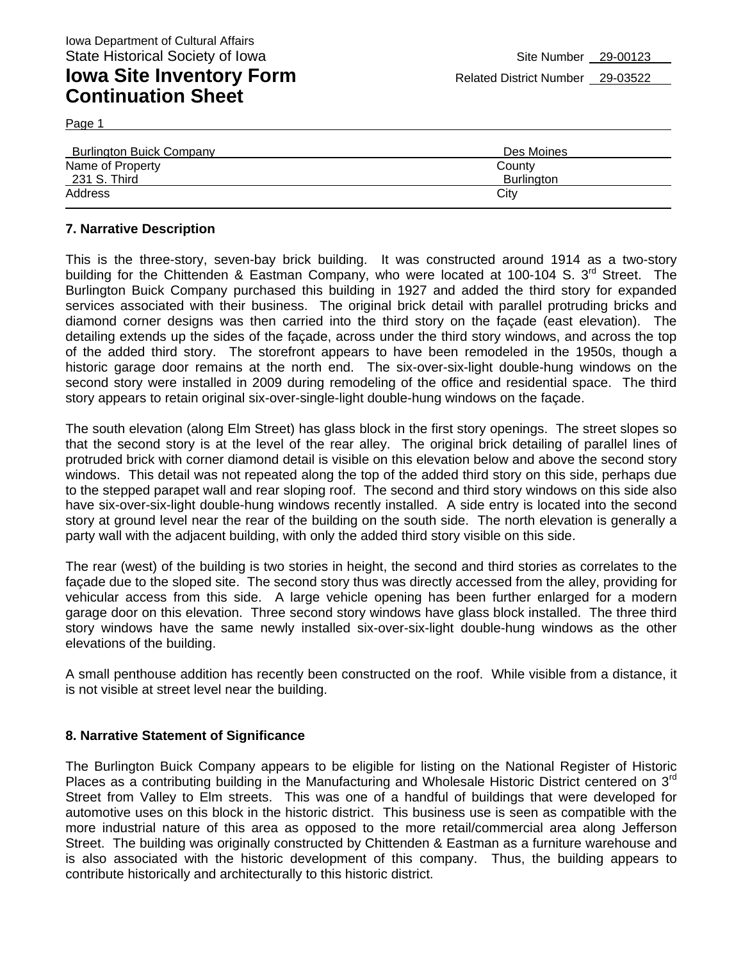Page 1

| <b>Burlington Buick Company</b> | Des Moines        |  |
|---------------------------------|-------------------|--|
| Name of Property                | County            |  |
| 231 S. Third                    | <b>Burlington</b> |  |
| Address                         | Citv              |  |

#### **7. Narrative Description**

This is the three-story, seven-bay brick building. It was constructed around 1914 as a two-story building for the Chittenden & Eastman Company, who were located at 100-104 S. 3<sup>rd</sup> Street. The Burlington Buick Company purchased this building in 1927 and added the third story for expanded services associated with their business. The original brick detail with parallel protruding bricks and diamond corner designs was then carried into the third story on the façade (east elevation). The detailing extends up the sides of the façade, across under the third story windows, and across the top of the added third story. The storefront appears to have been remodeled in the 1950s, though a historic garage door remains at the north end. The six-over-six-light double-hung windows on the second story were installed in 2009 during remodeling of the office and residential space. The third story appears to retain original six-over-single-light double-hung windows on the façade.

The south elevation (along Elm Street) has glass block in the first story openings. The street slopes so that the second story is at the level of the rear alley. The original brick detailing of parallel lines of protruded brick with corner diamond detail is visible on this elevation below and above the second story windows. This detail was not repeated along the top of the added third story on this side, perhaps due to the stepped parapet wall and rear sloping roof. The second and third story windows on this side also have six-over-six-light double-hung windows recently installed. A side entry is located into the second story at ground level near the rear of the building on the south side. The north elevation is generally a party wall with the adjacent building, with only the added third story visible on this side.

The rear (west) of the building is two stories in height, the second and third stories as correlates to the façade due to the sloped site. The second story thus was directly accessed from the alley, providing for vehicular access from this side. A large vehicle opening has been further enlarged for a modern garage door on this elevation. Three second story windows have glass block installed. The three third story windows have the same newly installed six-over-six-light double-hung windows as the other elevations of the building.

A small penthouse addition has recently been constructed on the roof. While visible from a distance, it is not visible at street level near the building.

#### **8. Narrative Statement of Significance**

The Burlington Buick Company appears to be eligible for listing on the National Register of Historic Places as a contributing building in the Manufacturing and Wholesale Historic District centered on 3<sup>rd</sup> Street from Valley to Elm streets. This was one of a handful of buildings that were developed for automotive uses on this block in the historic district. This business use is seen as compatible with the more industrial nature of this area as opposed to the more retail/commercial area along Jefferson Street. The building was originally constructed by Chittenden & Eastman as a furniture warehouse and is also associated with the historic development of this company. Thus, the building appears to contribute historically and architecturally to this historic district.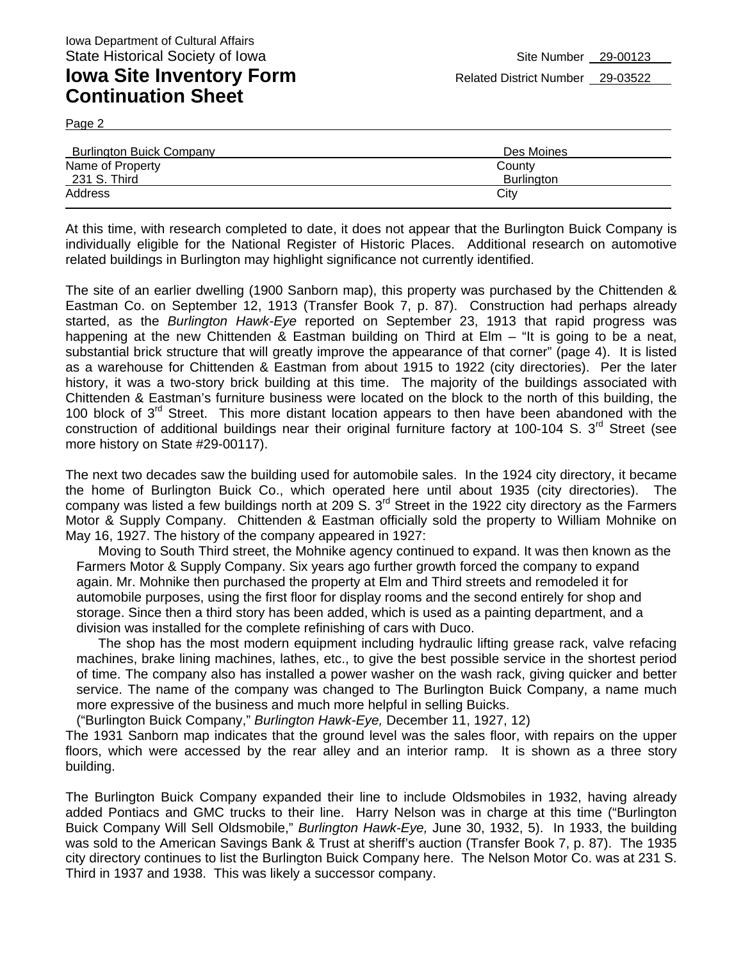Page 2

| <b>Burlington Buick Company</b> | Des Moines |
|---------------------------------|------------|
| Name of Property                | County     |
| 231 S. Third                    | Burlington |
| Address                         | Citv       |

At this time, with research completed to date, it does not appear that the Burlington Buick Company is individually eligible for the National Register of Historic Places. Additional research on automotive related buildings in Burlington may highlight significance not currently identified.

The site of an earlier dwelling (1900 Sanborn map), this property was purchased by the Chittenden & Eastman Co. on September 12, 1913 (Transfer Book 7, p. 87). Construction had perhaps already started, as the *Burlington Hawk-Eye* reported on September 23, 1913 that rapid progress was happening at the new Chittenden & Eastman building on Third at Elm – "It is going to be a neat, substantial brick structure that will greatly improve the appearance of that corner" (page 4). It is listed as a warehouse for Chittenden & Eastman from about 1915 to 1922 (city directories). Per the later history, it was a two-story brick building at this time. The majority of the buildings associated with Chittenden & Eastman's furniture business were located on the block to the north of this building, the 100 block of  $3<sup>rd</sup>$  Street. This more distant location appears to then have been abandoned with the construction of additional buildings near their original furniture factory at 100-104 S.  $3<sup>rd</sup>$  Street (see more history on State #29-00117).

The next two decades saw the building used for automobile sales. In the 1924 city directory, it became the home of Burlington Buick Co., which operated here until about 1935 (city directories). The company was listed a few buildings north at 209 S. 3<sup>rd</sup> Street in the 1922 city directory as the Farmers Motor & Supply Company. Chittenden & Eastman officially sold the property to William Mohnike on May 16, 1927. The history of the company appeared in 1927:

Moving to South Third street, the Mohnike agency continued to expand. It was then known as the Farmers Motor & Supply Company. Six years ago further growth forced the company to expand again. Mr. Mohnike then purchased the property at Elm and Third streets and remodeled it for automobile purposes, using the first floor for display rooms and the second entirely for shop and storage. Since then a third story has been added, which is used as a painting department, and a division was installed for the complete refinishing of cars with Duco.

The shop has the most modern equipment including hydraulic lifting grease rack, valve refacing machines, brake lining machines, lathes, etc., to give the best possible service in the shortest period of time. The company also has installed a power washer on the wash rack, giving quicker and better service. The name of the company was changed to The Burlington Buick Company, a name much more expressive of the business and much more helpful in selling Buicks.

("Burlington Buick Company," *Burlington Hawk-Eye,* December 11, 1927, 12)

The 1931 Sanborn map indicates that the ground level was the sales floor, with repairs on the upper floors, which were accessed by the rear alley and an interior ramp. It is shown as a three story building.

The Burlington Buick Company expanded their line to include Oldsmobiles in 1932, having already added Pontiacs and GMC trucks to their line. Harry Nelson was in charge at this time ("Burlington Buick Company Will Sell Oldsmobile," *Burlington Hawk-Eye,* June 30, 1932, 5). In 1933, the building was sold to the American Savings Bank & Trust at sheriff's auction (Transfer Book 7, p. 87). The 1935 city directory continues to list the Burlington Buick Company here. The Nelson Motor Co. was at 231 S. Third in 1937 and 1938. This was likely a successor company.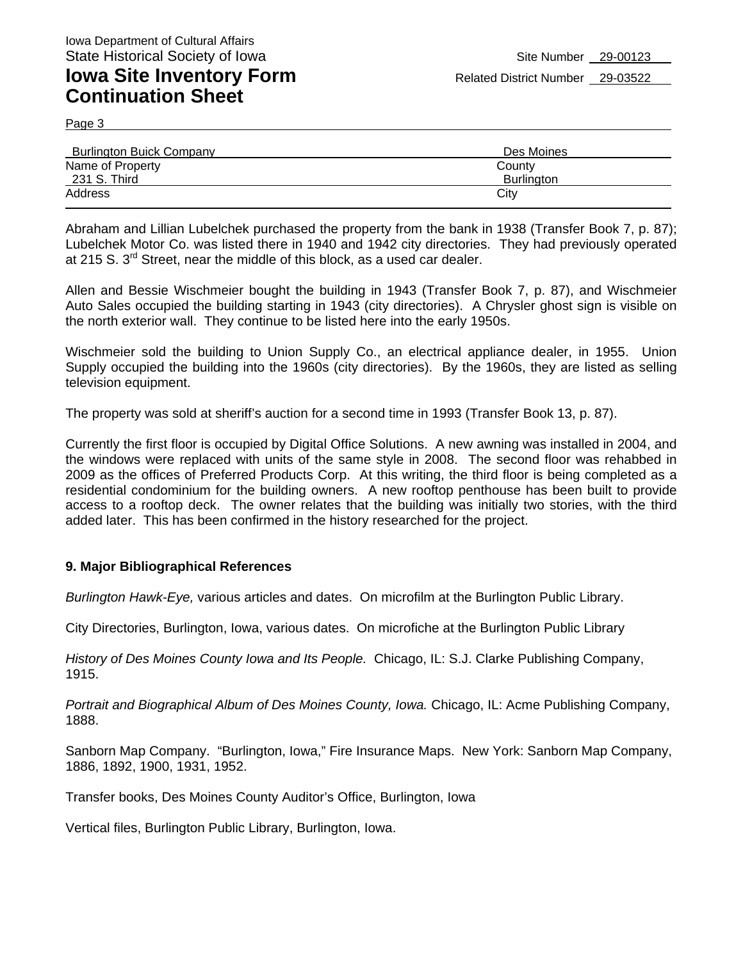Page 3

| <b>Burlington Buick Company</b> | Des Moines        |
|---------------------------------|-------------------|
| Name of Property                | County            |
| 231 S. Third                    | <b>Burlington</b> |
| Address                         | City              |
|                                 |                   |

Abraham and Lillian Lubelchek purchased the property from the bank in 1938 (Transfer Book 7, p. 87); Lubelchek Motor Co. was listed there in 1940 and 1942 city directories. They had previously operated at 215 S.  $3^{rd}$  Street, near the middle of this block, as a used car dealer.

Allen and Bessie Wischmeier bought the building in 1943 (Transfer Book 7, p. 87), and Wischmeier Auto Sales occupied the building starting in 1943 (city directories). A Chrysler ghost sign is visible on the north exterior wall. They continue to be listed here into the early 1950s.

Wischmeier sold the building to Union Supply Co., an electrical appliance dealer, in 1955. Union Supply occupied the building into the 1960s (city directories). By the 1960s, they are listed as selling television equipment.

The property was sold at sheriff's auction for a second time in 1993 (Transfer Book 13, p. 87).

Currently the first floor is occupied by Digital Office Solutions. A new awning was installed in 2004, and the windows were replaced with units of the same style in 2008. The second floor was rehabbed in 2009 as the offices of Preferred Products Corp. At this writing, the third floor is being completed as a residential condominium for the building owners. A new rooftop penthouse has been built to provide access to a rooftop deck. The owner relates that the building was initially two stories, with the third added later. This has been confirmed in the history researched for the project.

#### **9. Major Bibliographical References**

*Burlington Hawk-Eye,* various articles and dates. On microfilm at the Burlington Public Library.

City Directories, Burlington, Iowa, various dates. On microfiche at the Burlington Public Library

*History of Des Moines County Iowa and Its People.* Chicago, IL: S.J. Clarke Publishing Company, 1915.

*Portrait and Biographical Album of Des Moines County, Iowa.* Chicago, IL: Acme Publishing Company, 1888.

Sanborn Map Company. "Burlington, Iowa," Fire Insurance Maps. New York: Sanborn Map Company, 1886, 1892, 1900, 1931, 1952.

Transfer books, Des Moines County Auditor's Office, Burlington, Iowa

Vertical files, Burlington Public Library, Burlington, Iowa.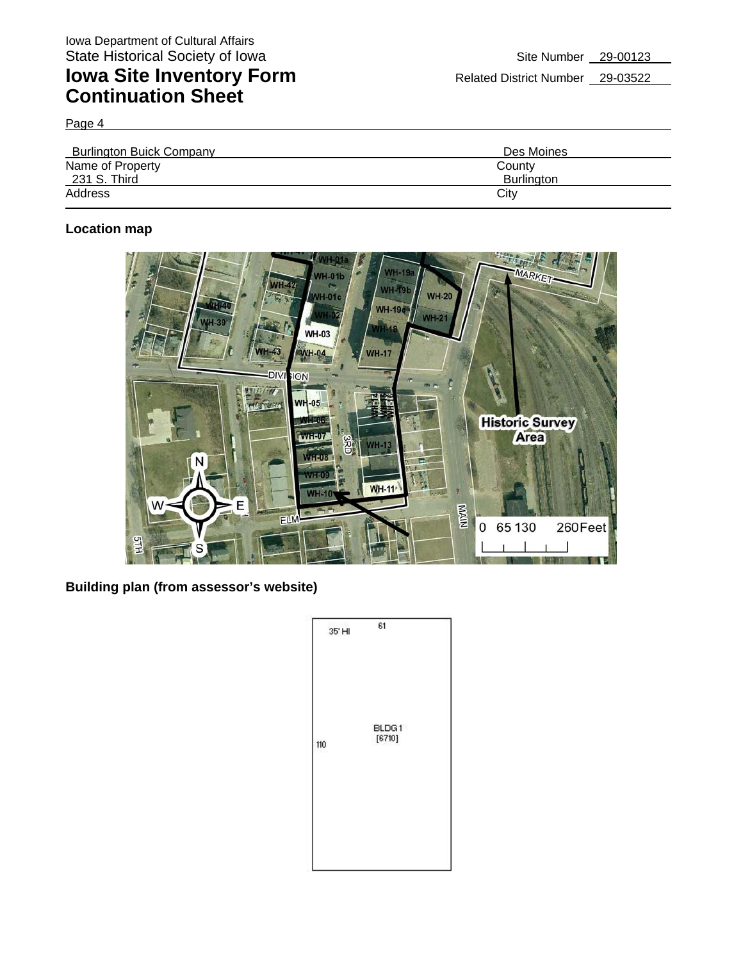Page 4

| <b>Burlington Buick Company</b> | Des Moines        |
|---------------------------------|-------------------|
| Name of Property                | County            |
| 231 S. Third                    | <b>Burlington</b> |
| Address                         | City              |

### **Location map**



**Building plan (from assessor's website)** 

|     | 35' HI | 61              |  |
|-----|--------|-----------------|--|
| 110 |        | BLDG1<br>[6710] |  |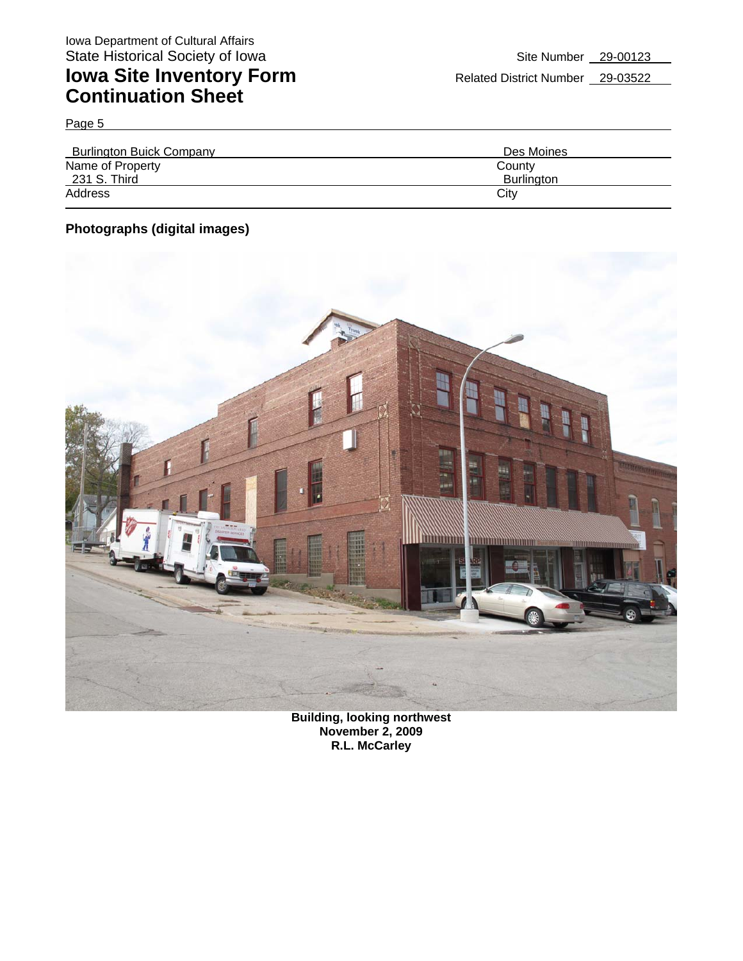Page 5

| <b>Burlington Buick Company</b> | Des Moines |
|---------------------------------|------------|
| Name of Property                | County     |
| 231 S. Third                    | Burlington |
| Address                         | City       |

### **Photographs (digital images)**



**Building, looking northwest November 2, 2009 R.L. McCarley**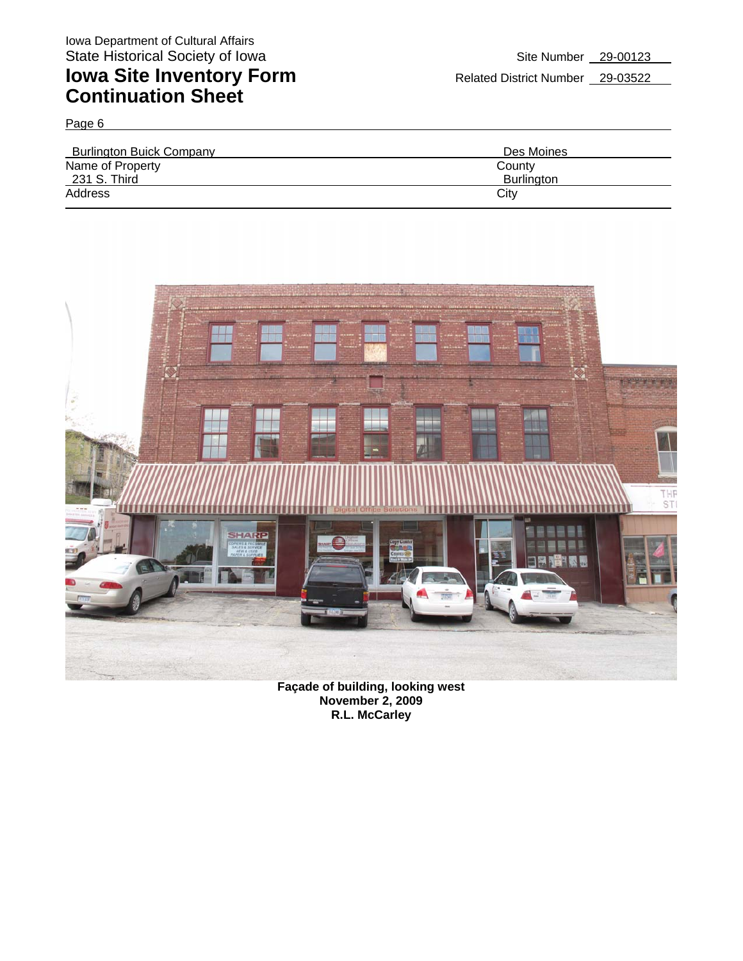Page 6

| <b>Burlington Buick Company</b> | Des Moines        |
|---------------------------------|-------------------|
| Name of Property                | County            |
| 231 S. Third                    | <b>Burlington</b> |
| Address                         | City              |



**Façade of building, looking west November 2, 2009 R.L. McCarley**